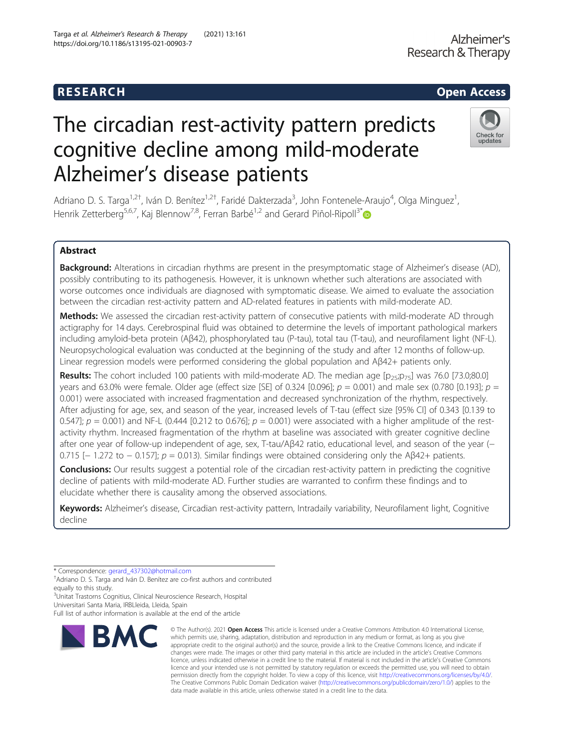# R E S EAR CH Open Access

# The circadian rest-activity pattern predicts cognitive decline among mild-moderate Alzheimer's disease patients

Adriano D. S. Targa<sup>1,2†</sup>, Iván D. Benítez<sup>1,2†</sup>, Faridé Dakterzada<sup>3</sup>, John Fontenele-Araujo<sup>4</sup>, Olga Minguez<sup>1</sup> , Henrik Zetterberg<sup>5,6,7</sup>, Kaj Blennow<sup>7,8</sup>, Ferran Barbé<sup>1,2</sup> and Gerard Piñol-Ripoll<sup>3[\\*](http://orcid.org/0000-0002-4495-2113)</sup>

# Abstract

Background: Alterations in circadian rhythms are present in the presymptomatic stage of Alzheimer's disease (AD), possibly contributing to its pathogenesis. However, it is unknown whether such alterations are associated with worse outcomes once individuals are diagnosed with symptomatic disease. We aimed to evaluate the association between the circadian rest-activity pattern and AD-related features in patients with mild-moderate AD.

Methods: We assessed the circadian rest-activity pattern of consecutive patients with mild-moderate AD through actigraphy for 14 days. Cerebrospinal fluid was obtained to determine the levels of important pathological markers including amyloid-beta protein (Aβ42), phosphorylated tau (P-tau), total tau (T-tau), and neurofilament light (NF-L). Neuropsychological evaluation was conducted at the beginning of the study and after 12 months of follow-up. Linear regression models were performed considering the global population and Aβ42+ patients only.

Results: The cohort included 100 patients with mild-moderate AD. The median age  $[p_{25} | p_{75}]$  was 76.0 [73.0;80.0] years and 63.0% were female. Older age (effect size [SE] of 0.324 [0.096];  $p = 0.001$ ) and male sex (0.780 [0.193];  $p =$ 0.001) were associated with increased fragmentation and decreased synchronization of the rhythm, respectively. After adjusting for age, sex, and season of the year, increased levels of T-tau (effect size [95% CI] of 0.343 [0.139 to 0.547];  $p = 0.001$  and NF-L (0.444 [0.212 to 0.676];  $p = 0.001$ ) were associated with a higher amplitude of the restactivity rhythm. Increased fragmentation of the rhythm at baseline was associated with greater cognitive decline after one year of follow-up independent of age, sex, T-tau/Aβ42 ratio, educational level, and season of the year (– 0.715 [ $-1.272$  to  $-0.157$ ];  $p = 0.013$ ). Similar findings were obtained considering only the Aβ42+ patients.

**Conclusions:** Our results suggest a potential role of the circadian rest-activity pattern in predicting the cognitive decline of patients with mild-moderate AD. Further studies are warranted to confirm these findings and to elucidate whether there is causality among the observed associations.

Keywords: Alzheimer's disease, Circadian rest-activity pattern, Intradaily variability, Neurofilament light, Cognitive decline

\* Correspondence: [gerard\\_437302@hotmail.com](mailto:gerard_437302@hotmail.com) †

<sup>+</sup>Adriano D. S. Targa and Iván D. Benítez are co-first authors and contributed equally to this study.

3 Unitat Trastorns Cognitius, Clinical Neuroscience Research, Hospital Universitari Santa Maria, IRBLleida, Lleida, Spain

Full list of author information is available at the end of the article

© The Author(s), 2021 **Open Access** This article is licensed under a Creative Commons Attribution 4.0 International License, which permits use, sharing, adaptation, distribution and reproduction in any medium or format, as long as you give



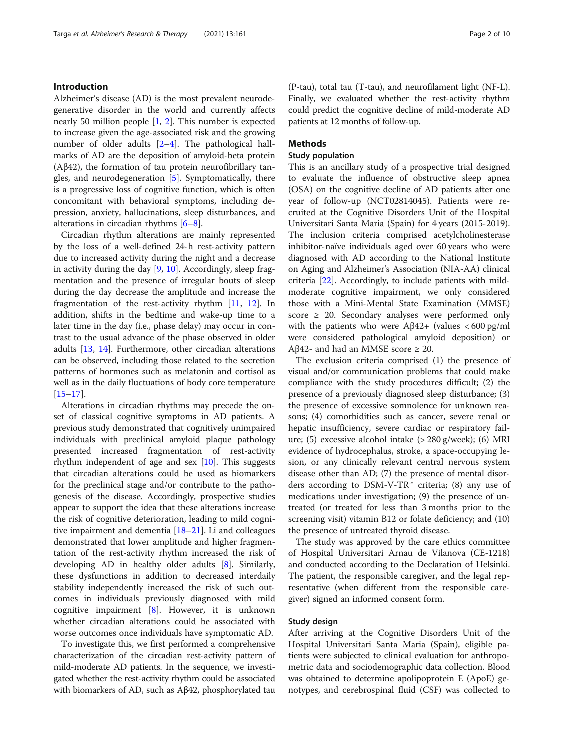# Introduction

Alzheimer's disease (AD) is the most prevalent neurodegenerative disorder in the world and currently affects nearly 50 million people  $\left[1, 2\right]$  $\left[1, 2\right]$  $\left[1, 2\right]$  $\left[1, 2\right]$  $\left[1, 2\right]$ . This number is expected to increase given the age-associated risk and the growing number of older adults  $[2-4]$  $[2-4]$  $[2-4]$ . The pathological hallmarks of AD are the deposition of amyloid-beta protein (Aβ42), the formation of tau protein neurofibrillary tangles, and neurodegeneration [\[5](#page-8-0)]. Symptomatically, there is a progressive loss of cognitive function, which is often concomitant with behavioral symptoms, including depression, anxiety, hallucinations, sleep disturbances, and alterations in circadian rhythms  $[6-8]$  $[6-8]$  $[6-8]$ .

Circadian rhythm alterations are mainly represented by the loss of a well-defined 24-h rest-activity pattern due to increased activity during the night and a decrease in activity during the day  $[9, 10]$  $[9, 10]$  $[9, 10]$  $[9, 10]$ . Accordingly, sleep fragmentation and the presence of irregular bouts of sleep during the day decrease the amplitude and increase the fragmentation of the rest-activity rhythm [[11](#page-8-0), [12\]](#page-8-0). In addition, shifts in the bedtime and wake-up time to a later time in the day (i.e., phase delay) may occur in contrast to the usual advance of the phase observed in older adults [\[13](#page-8-0), [14\]](#page-8-0). Furthermore, other circadian alterations can be observed, including those related to the secretion patterns of hormones such as melatonin and cortisol as well as in the daily fluctuations of body core temperature [[15](#page-8-0)–[17](#page-8-0)].

Alterations in circadian rhythms may precede the onset of classical cognitive symptoms in AD patients. A previous study demonstrated that cognitively unimpaired individuals with preclinical amyloid plaque pathology presented increased fragmentation of rest-activity rhythm independent of age and sex [\[10](#page-8-0)]. This suggests that circadian alterations could be used as biomarkers for the preclinical stage and/or contribute to the pathogenesis of the disease. Accordingly, prospective studies appear to support the idea that these alterations increase the risk of cognitive deterioration, leading to mild cognitive impairment and dementia [\[18](#page-8-0)–[21\]](#page-8-0). Li and colleagues demonstrated that lower amplitude and higher fragmentation of the rest-activity rhythm increased the risk of developing AD in healthy older adults [\[8](#page-8-0)]. Similarly, these dysfunctions in addition to decreased interdaily stability independently increased the risk of such outcomes in individuals previously diagnosed with mild cognitive impairment [[8\]](#page-8-0). However, it is unknown whether circadian alterations could be associated with worse outcomes once individuals have symptomatic AD.

To investigate this, we first performed a comprehensive characterization of the circadian rest-activity pattern of mild-moderate AD patients. In the sequence, we investigated whether the rest-activity rhythm could be associated with biomarkers of AD, such as Aβ42, phosphorylated tau

(P-tau), total tau (T-tau), and neurofilament light (NF-L). Finally, we evaluated whether the rest-activity rhythm could predict the cognitive decline of mild-moderate AD patients at 12 months of follow-up.

# Methods

# Study population

This is an ancillary study of a prospective trial designed to evaluate the influence of obstructive sleep apnea (OSA) on the cognitive decline of AD patients after one year of follow-up (NCT02814045). Patients were recruited at the Cognitive Disorders Unit of the Hospital Universitari Santa Maria (Spain) for 4 years (2015-2019). The inclusion criteria comprised acetylcholinesterase inhibitor-naïve individuals aged over 60 years who were diagnosed with AD according to the National Institute on Aging and Alzheimer's Association (NIA-AA) clinical criteria [\[22](#page-8-0)]. Accordingly, to include patients with mildmoderate cognitive impairment, we only considered those with a Mini-Mental State Examination (MMSE) score ≥ 20. Secondary analyses were performed only with the patients who were  $A\beta42+$  (values < 600 pg/ml were considered pathological amyloid deposition) or Aβ42- and had an MMSE score  $\geq 20$ .

The exclusion criteria comprised (1) the presence of visual and/or communication problems that could make compliance with the study procedures difficult; (2) the presence of a previously diagnosed sleep disturbance; (3) the presence of excessive somnolence for unknown reasons; (4) comorbidities such as cancer, severe renal or hepatic insufficiency, severe cardiac or respiratory failure; (5) excessive alcohol intake (> 280 g/week); (6) MRI evidence of hydrocephalus, stroke, a space-occupying lesion, or any clinically relevant central nervous system disease other than AD; (7) the presence of mental disorders according to DSM-V-TR™ criteria; (8) any use of medications under investigation; (9) the presence of untreated (or treated for less than 3 months prior to the screening visit) vitamin B12 or folate deficiency; and (10) the presence of untreated thyroid disease.

The study was approved by the care ethics committee of Hospital Universitari Arnau de Vilanova (CE-1218) and conducted according to the Declaration of Helsinki. The patient, the responsible caregiver, and the legal representative (when different from the responsible caregiver) signed an informed consent form.

# Study design

After arriving at the Cognitive Disorders Unit of the Hospital Universitari Santa Maria (Spain), eligible patients were subjected to clinical evaluation for anthropometric data and sociodemographic data collection. Blood was obtained to determine apolipoprotein E (ApoE) genotypes, and cerebrospinal fluid (CSF) was collected to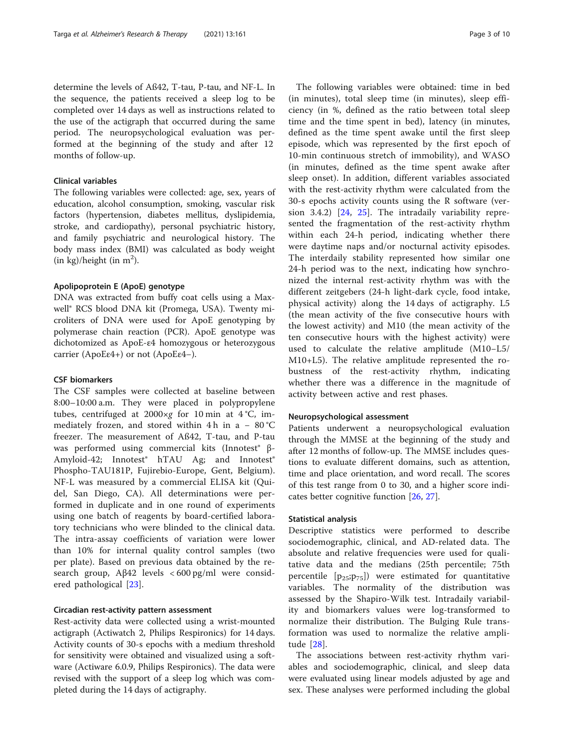determine the levels of Aß42, T-tau, P-tau, and NF-L. In the sequence, the patients received a sleep log to be completed over 14 days as well as instructions related to the use of the actigraph that occurred during the same period. The neuropsychological evaluation was performed at the beginning of the study and after 12 months of follow-up.

# Clinical variables

The following variables were collected: age, sex, years of education, alcohol consumption, smoking, vascular risk factors (hypertension, diabetes mellitus, dyslipidemia, stroke, and cardiopathy), personal psychiatric history, and family psychiatric and neurological history. The body mass index (BMI) was calculated as body weight  $(in kg)/height (in m<sup>2</sup>).$ 

# Apolipoprotein E (ApoE) genotype

DNA was extracted from buffy coat cells using a Maxwell® RCS blood DNA kit (Promega, USA). Twenty microliters of DNA were used for ApoE genotyping by polymerase chain reaction (PCR). ApoE genotype was dichotomized as ApoE-ε4 homozygous or heterozygous carrier (ApoEε4+) or not (ApoEε4−).

# CSF biomarkers

The CSF samples were collected at baseline between 8:00–10:00 a.m. They were placed in polypropylene tubes, centrifuged at  $2000 \times g$  for 10 min at 4 °C, immediately frozen, and stored within 4 h in a -  $80^{\circ}$ C freezer. The measurement of Aß42, T-tau, and P-tau was performed using commercial kits (Innotest<sup>®</sup> β-Amyloid-42; Innotest<sup>®</sup> hTAU Ag; and Innotest<sup>®</sup> Phospho-TAU181P, Fujirebio-Europe, Gent, Belgium). NF-L was measured by a commercial ELISA kit (Quidel, San Diego, CA). All determinations were performed in duplicate and in one round of experiments using one batch of reagents by board-certified laboratory technicians who were blinded to the clinical data. The intra-assay coefficients of variation were lower than 10% for internal quality control samples (two per plate). Based on previous data obtained by the research group, Aβ42 levels < 600 pg/ml were considered pathological [\[23](#page-9-0)].

# Circadian rest-activity pattern assessment

Rest-activity data were collected using a wrist-mounted actigraph (Actiwatch 2, Philips Respironics) for 14 days. Activity counts of 30-s epochs with a medium threshold for sensitivity were obtained and visualized using a software (Actiware 6.0.9, Philips Respironics). The data were revised with the support of a sleep log which was completed during the 14 days of actigraphy.

The following variables were obtained: time in bed (in minutes), total sleep time (in minutes), sleep efficiency (in %, defined as the ratio between total sleep time and the time spent in bed), latency (in minutes, defined as the time spent awake until the first sleep episode, which was represented by the first epoch of 10-min continuous stretch of immobility), and WASO (in minutes, defined as the time spent awake after sleep onset). In addition, different variables associated with the rest-activity rhythm were calculated from the 30-s epochs activity counts using the R software (version 3.4.2) [[24,](#page-9-0) [25\]](#page-9-0). The intradaily variability represented the fragmentation of the rest-activity rhythm within each 24-h period, indicating whether there were daytime naps and/or nocturnal activity episodes. The interdaily stability represented how similar one 24-h period was to the next, indicating how synchronized the internal rest-activity rhythm was with the different zeitgebers (24-h light-dark cycle, food intake, physical activity) along the 14 days of actigraphy. L5 (the mean activity of the five consecutive hours with the lowest activity) and M10 (the mean activity of the ten consecutive hours with the highest activity) were used to calculate the relative amplitude (M10−L5/ M10+L5). The relative amplitude represented the robustness of the rest-activity rhythm, indicating whether there was a difference in the magnitude of activity between active and rest phases.

#### Neuropsychological assessment

Patients underwent a neuropsychological evaluation through the MMSE at the beginning of the study and after 12 months of follow-up. The MMSE includes questions to evaluate different domains, such as attention, time and place orientation, and word recall. The scores of this test range from 0 to 30, and a higher score indicates better cognitive function [[26,](#page-9-0) [27](#page-9-0)].

# Statistical analysis

Descriptive statistics were performed to describe sociodemographic, clinical, and AD-related data. The absolute and relative frequencies were used for qualitative data and the medians (25th percentile; 75th percentile  $[p_{25};p_{75}]$  were estimated for quantitative variables. The normality of the distribution was assessed by the Shapiro-Wilk test. Intradaily variability and biomarkers values were log-transformed to normalize their distribution. The Bulging Rule transformation was used to normalize the relative amplitude [\[28](#page-9-0)].

The associations between rest-activity rhythm variables and sociodemographic, clinical, and sleep data were evaluated using linear models adjusted by age and sex. These analyses were performed including the global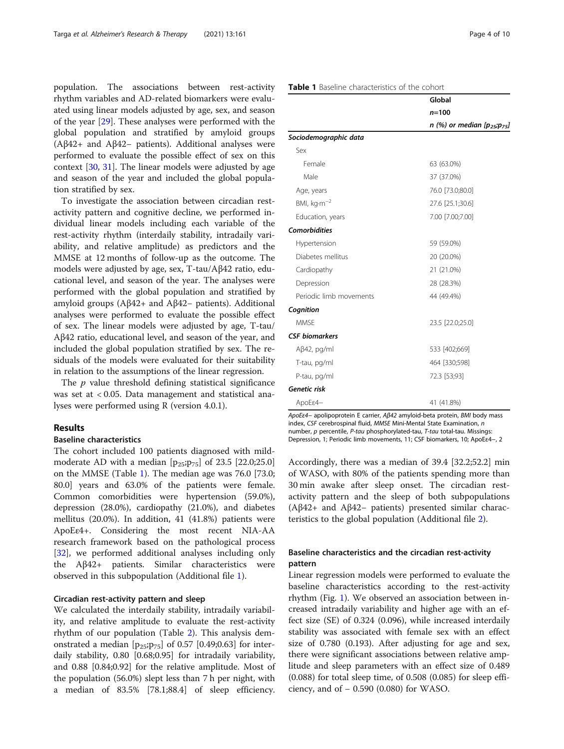population. The associations between rest-activity rhythm variables and AD-related biomarkers were evaluated using linear models adjusted by age, sex, and season of the year [[29\]](#page-9-0). These analyses were performed with the global population and stratified by amyloid groups (Aβ42+ and Aβ42− patients). Additional analyses were performed to evaluate the possible effect of sex on this context [\[30](#page-9-0), [31](#page-9-0)]. The linear models were adjusted by age and season of the year and included the global population stratified by sex.

To investigate the association between circadian restactivity pattern and cognitive decline, we performed individual linear models including each variable of the rest-activity rhythm (interdaily stability, intradaily variability, and relative amplitude) as predictors and the MMSE at 12 months of follow-up as the outcome. The models were adjusted by age, sex, T-tau/Aβ42 ratio, educational level, and season of the year. The analyses were performed with the global population and stratified by amyloid groups (Aβ42+ and Aβ42− patients). Additional analyses were performed to evaluate the possible effect of sex. The linear models were adjusted by age, T-tau/ Aβ42 ratio, educational level, and season of the year, and included the global population stratified by sex. The residuals of the models were evaluated for their suitability in relation to the assumptions of the linear regression.

The  $p$  value threshold defining statistical significance was set at < 0.05. Data management and statistical analyses were performed using R (version 4.0.1).

# Results

# Baseline characteristics

The cohort included 100 patients diagnosed with mildmoderate AD with a median  $[p_{25};p_{75}]$  of 23.5 [22.0;25.0] on the MMSE (Table 1). The median age was 76.0 [73.0; 80.0] years and 63.0% of the patients were female. Common comorbidities were hypertension (59.0%), depression (28.0%), cardiopathy (21.0%), and diabetes mellitus (20.0%). In addition, 41 (41.8%) patients were ApoEε4+. Considering the most recent NIA-AA research framework based on the pathological process [[32\]](#page-9-0), we performed additional analyses including only the Aβ42+ patients. Similar characteristics were observed in this subpopulation (Additional file [1](#page-7-0)).

# Circadian rest-activity pattern and sleep

We calculated the interdaily stability, intradaily variability, and relative amplitude to evaluate the rest-activity rhythm of our population (Table [2\)](#page-4-0). This analysis demonstrated a median  $[p_{25};p_{75}]$  of 0.57 [0.49;0.63] for interdaily stability, 0.80 [0.68;0.95] for intradaily variability, and 0.88 [0.84;0.92] for the relative amplitude. Most of the population (56.0%) slept less than 7 h per night, with a median of 83.5% [78.1;88.4] of sleep efficiency.

# Table 1 Baseline characteristics of the cohort

|                         | Global                                    |
|-------------------------|-------------------------------------------|
|                         | $n = 100$                                 |
|                         | $n$ (%) or median [ $p_{25}$ ; $p_{75}$ ] |
| Sociodemographic data   |                                           |
| Sex                     |                                           |
| Female                  | 63 (63.0%)                                |
| Male                    | 37 (37.0%)                                |
| Age, years              | 76.0 [73.0;80.0]                          |
| BMI, kg·m <sup>-2</sup> | 27.6 [25.1;30.6]                          |
| Education, years        | 7.00 [7.00;7.00]                          |
| <b>Comorbidities</b>    |                                           |
| Hypertension            | 59 (59.0%)                                |
| Diabetes mellitus       | 20 (20.0%)                                |
| Cardiopathy             | 21 (21.0%)                                |
| Depression              | 28 (28.3%)                                |
| Periodic limb movements | 44 (49.4%)                                |
| Cognition               |                                           |
| <b>MMSF</b>             | 23.5 [22.0;25.0]                          |
| <b>CSF</b> biomarkers   |                                           |
| $A\beta42$ , pg/ml      | 533 [402;669]                             |
| T-tau, pg/ml            | 464 [330;598]                             |
| P-tau, pg/ml            | 72.3 [53;93]                              |
| Genetic risk            |                                           |
| ApoEε4-                 | 41 (41.8%)                                |

ApoEε4− apolipoprotein E carrier, Aβ42 amyloid-beta protein, BMI body mass index, CSF cerebrospinal fluid, MMSE Mini-Mental State Examination, n number, p percentile, P-tau phosphorylated-tau, T-tau total-tau. Missings: Depression, 1; Periodic limb movements, 11; CSF biomarkers, 10; ApoEε4−, 2

Accordingly, there was a median of 39.4 [32.2;52.2] min of WASO, with 80% of the patients spending more than 30 min awake after sleep onset. The circadian restactivity pattern and the sleep of both subpopulations (Aβ42+ and Aβ42− patients) presented similar characteristics to the global population (Additional file [2](#page-7-0)).

# Baseline characteristics and the circadian rest-activity pattern

Linear regression models were performed to evaluate the baseline characteristics according to the rest-activity rhythm (Fig. [1\)](#page-5-0). We observed an association between increased intradaily variability and higher age with an effect size (SE) of 0.324 (0.096), while increased interdaily stability was associated with female sex with an effect size of 0.780 (0.193). After adjusting for age and sex, there were significant associations between relative amplitude and sleep parameters with an effect size of 0.489 (0.088) for total sleep time, of 0.508 (0.085) for sleep efficiency, and of − 0.590 (0.080) for WASO.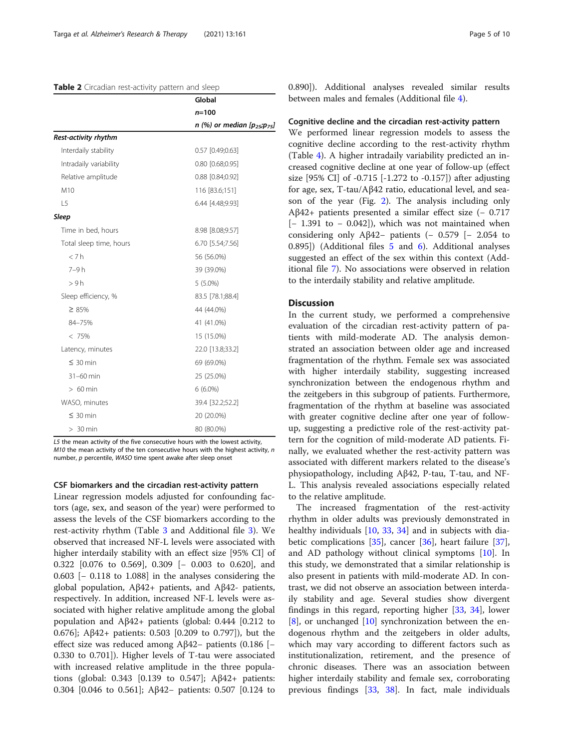#### <span id="page-4-0"></span>Table 2 Circadian rest-activity pattern and sleep

|                         | Global                            |
|-------------------------|-----------------------------------|
|                         | $n = 100$                         |
|                         | n (%) or median $[p_{25};p_{75}]$ |
| Rest-activity rhythm    |                                   |
| Interdaily stability    | 0.57 [0.49;0.63]                  |
| Intradaily variability  | $0.80$ [0.68;0.95]                |
| Relative amplitude      | 0.88 [0.84;0.92]                  |
| M10                     | 116 [83.6;151]                    |
| L <sub>5</sub>          | 6.44 [4.48;9.93]                  |
| <b>Sleep</b>            |                                   |
| Time in bed, hours      | 8.98 [8.08;9.57]                  |
| Total sleep time, hours | 6.70 [5.54;7.56]                  |
| < 7h                    | 56 (56.0%)                        |
| $7-9h$                  | 39 (39.0%)                        |
| > 9h                    | $5(5.0\%)$                        |
| Sleep efficiency, %     | 83.5 [78.1;88.4]                  |
| $\geq 85\%$             | 44 (44.0%)                        |
| 84-75%                  | 41 (41.0%)                        |
| < 75%                   | 15 (15.0%)                        |
| Latency, minutes        | 22.0 [13.8;33.2]                  |
| $\leq 30$ min           | 69 (69.0%)                        |
| $31-60$ min             | 25 (25.0%)                        |
| $>60$ min               | $6(6.0\%)$                        |
| WASO, minutes           | 39.4 [32.2;52.2]                  |
| $\leq 30$ min           | 20 (20.0%)                        |
| $> 30$ min              | 80 (80.0%)                        |

L5 the mean activity of the five consecutive hours with the lowest activity,  $M10$  the mean activity of the ten consecutive hours with the highest activity, n number, p percentile, WASO time spent awake after sleep onset

# CSF biomarkers and the circadian rest-activity pattern

Linear regression models adjusted for confounding factors (age, sex, and season of the year) were performed to assess the levels of the CSF biomarkers according to the rest-activity rhythm (Table [3](#page-6-0) and Additional file [3](#page-7-0)). We observed that increased NF-L levels were associated with higher interdaily stability with an effect size [95% CI] of 0.322 [0.076 to 0.569], 0.309 [− 0.003 to 0.620], and 0.603 [− 0.118 to 1.088] in the analyses considering the global population, Aβ42+ patients, and Aβ42- patients, respectively. In addition, increased NF-L levels were associated with higher relative amplitude among the global population and  $A\beta42+$  patients (global: 0.444 [0.212 to 0.676]; Aβ42+ patients: 0.503 [0.209 to 0.797]), but the effect size was reduced among Aβ42− patients (0.186 [− 0.330 to 0.701]). Higher levels of T-tau were associated with increased relative amplitude in the three populations (global: 0.343 [0.139 to 0.547]; Aβ42+ patients: 0.304 [0.046 to 0.561]; Aβ42− patients: 0.507 [0.124 to 0.890]). Additional analyses revealed similar results between males and females (Additional file [4\)](#page-8-0).

#### Cognitive decline and the circadian rest-activity pattern

We performed linear regression models to assess the cognitive decline according to the rest-activity rhythm (Table [4](#page-6-0)). A higher intradaily variability predicted an increased cognitive decline at one year of follow-up (effect size [95% CI] of -0.715 [-1.272 to -0.157]) after adjusting for age, sex, T-tau/Aβ42 ratio, educational level, and season of the year (Fig. [2\)](#page-7-0). The analysis including only Aβ42+ patients presented a similar effect size  $(-0.717)$ [− 1.391 to − 0.042]), which was not maintained when considering only Aβ42− patients  $(-0.579$  [- 2.054 to 0.895]) (Additional files [5](#page-8-0) and [6](#page-8-0)). Additional analyses suggested an effect of the sex within this context (Additional file [7](#page-8-0)). No associations were observed in relation to the interdaily stability and relative amplitude.

# Discussion

In the current study, we performed a comprehensive evaluation of the circadian rest-activity pattern of patients with mild-moderate AD. The analysis demonstrated an association between older age and increased fragmentation of the rhythm. Female sex was associated with higher interdaily stability, suggesting increased synchronization between the endogenous rhythm and the zeitgebers in this subgroup of patients. Furthermore, fragmentation of the rhythm at baseline was associated with greater cognitive decline after one year of followup, suggesting a predictive role of the rest-activity pattern for the cognition of mild-moderate AD patients. Finally, we evaluated whether the rest-activity pattern was associated with different markers related to the disease's physiopathology, including Aβ42, P-tau, T-tau, and NF-L. This analysis revealed associations especially related to the relative amplitude.

The increased fragmentation of the rest-activity rhythm in older adults was previously demonstrated in healthy individuals [\[10](#page-8-0), [33,](#page-9-0) [34](#page-9-0)] and in subjects with diabetic complications [[35\]](#page-9-0), cancer [[36\]](#page-9-0), heart failure [\[37](#page-9-0)], and AD pathology without clinical symptoms [[10](#page-8-0)]. In this study, we demonstrated that a similar relationship is also present in patients with mild-moderate AD. In contrast, we did not observe an association between interdaily stability and age. Several studies show divergent findings in this regard, reporting higher [\[33](#page-9-0), [34](#page-9-0)], lower  $[8]$  $[8]$ , or unchanged  $[10]$  $[10]$  synchronization between the endogenous rhythm and the zeitgebers in older adults, which may vary according to different factors such as institutionalization, retirement, and the presence of chronic diseases. There was an association between higher interdaily stability and female sex, corroborating previous findings [\[33](#page-9-0), [38\]](#page-9-0). In fact, male individuals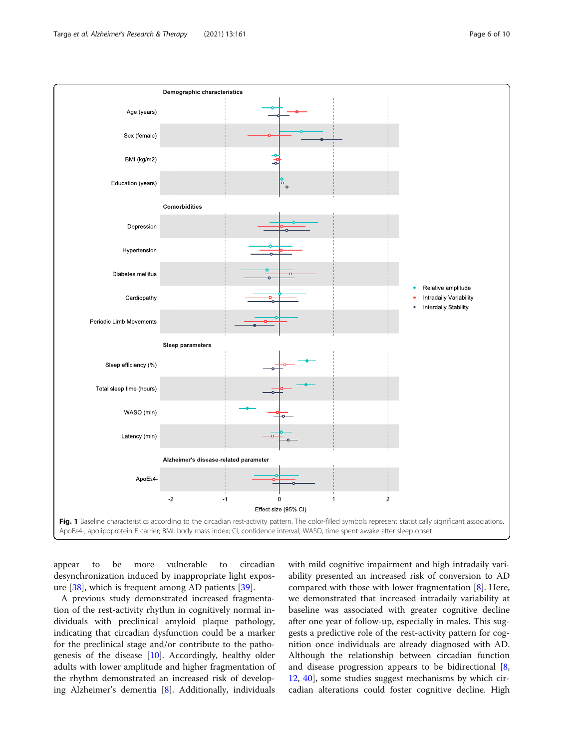<span id="page-5-0"></span>

appear to be more vulnerable to circadian desynchronization induced by inappropriate light exposure [\[38](#page-9-0)], which is frequent among AD patients [\[39](#page-9-0)].

A previous study demonstrated increased fragmentation of the rest-activity rhythm in cognitively normal individuals with preclinical amyloid plaque pathology, indicating that circadian dysfunction could be a marker for the preclinical stage and/or contribute to the pathogenesis of the disease [\[10](#page-8-0)]. Accordingly, healthy older adults with lower amplitude and higher fragmentation of the rhythm demonstrated an increased risk of developing Alzheimer's dementia [[8\]](#page-8-0). Additionally, individuals

with mild cognitive impairment and high intradaily variability presented an increased risk of conversion to AD compared with those with lower fragmentation  $[8]$  $[8]$ . Here, we demonstrated that increased intradaily variability at baseline was associated with greater cognitive decline after one year of follow-up, especially in males. This suggests a predictive role of the rest-activity pattern for cognition once individuals are already diagnosed with AD. Although the relationship between circadian function and disease progression appears to be bidirectional [[8](#page-8-0), [12,](#page-8-0) [40](#page-9-0)], some studies suggest mechanisms by which circadian alterations could foster cognitive decline. High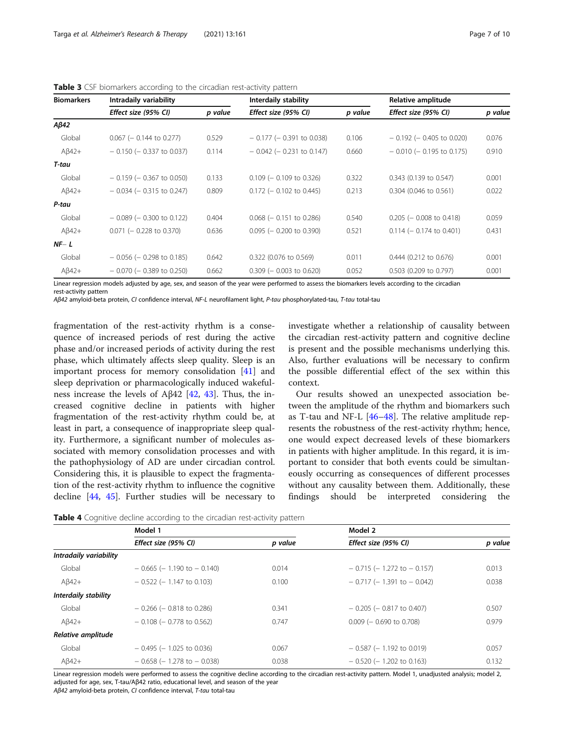| <b>Biomarkers</b> | Intradaily variability        |         | Interdaily stability          |         | Relative amplitude            |         |
|-------------------|-------------------------------|---------|-------------------------------|---------|-------------------------------|---------|
|                   | Effect size (95% CI)          | p value | Effect size (95% CI)          | p value | Effect size (95% CI)          | p value |
| $A\beta42$        |                               |         |                               |         |                               |         |
| Global            | $0.067$ (- 0.144 to 0.277)    | 0.529   | $-0.177$ ( $-0.391$ to 0.038) | 0.106   | $-0.192$ ( $-0.405$ to 0.020) | 0.076   |
| $A\beta42+$       | $-0.150$ ( $-0.337$ to 0.037) | 0.114   | $-0.042$ ( $-0.231$ to 0.147) | 0.660   | $-0.010$ ( $-0.195$ to 0.175) | 0.910   |
| T-tau             |                               |         |                               |         |                               |         |
| Global            | $-0.159$ ( $-0.367$ to 0.050) | 0.133   | $0.109$ (- 0.109 to 0.326)    | 0.322   | 0.343 (0.139 to 0.547)        | 0.001   |
| $A\beta42+$       | $-0.034$ ( $-0.315$ to 0.247) | 0.809   | $0.172$ (- 0.102 to 0.445)    | 0.213   | $0.304$ (0.046 to 0.561)      | 0.022   |
| P-tau             |                               |         |                               |         |                               |         |
| Global            | $-0.089$ ( $-0.300$ to 0.122) | 0.404   | $0.068$ ( $-0.151$ to 0.286)  | 0.540   | $0.205$ (- 0.008 to 0.418)    | 0.059   |
| $A\beta42+$       | $0.071$ (- 0.228 to 0.370)    | 0.636   | $0.095$ (- 0.200 to 0.390)    | 0.521   | $0.114$ (- 0.174 to 0.401)    | 0.431   |
| $NF - L$          |                               |         |                               |         |                               |         |
| Global            | $-0.056$ ( $-0.298$ to 0.185) | 0.642   | 0.322 (0.076 to 0.569)        | 0.011   | 0.444 (0.212 to 0.676)        | 0.001   |
| $A\beta42+$       | $-0.070$ ( $-0.389$ to 0.250) | 0.662   | $0.309$ (- 0.003 to 0.620)    | 0.052   | 0.503 (0.209 to 0.797)        | 0.001   |

<span id="page-6-0"></span>Table 3 CSF biomarkers according to the circadian rest-activity pattern

Linear regression models adjusted by age, sex, and season of the year were performed to assess the biomarkers levels according to the circadian

Aβ42 amyloid-beta protein, CI confidence interval, NF-L neurofilament light, P-tau phosphorylated-tau, T-tau total-tau

fragmentation of the rest-activity rhythm is a consequence of increased periods of rest during the active phase and/or increased periods of activity during the rest phase, which ultimately affects sleep quality. Sleep is an important process for memory consolidation [\[41](#page-9-0)] and sleep deprivation or pharmacologically induced wakefulness increase the levels of Aβ42 [[42](#page-9-0), [43](#page-9-0)]. Thus, the increased cognitive decline in patients with higher fragmentation of the rest-activity rhythm could be, at least in part, a consequence of inappropriate sleep quality. Furthermore, a significant number of molecules associated with memory consolidation processes and with the pathophysiology of AD are under circadian control. Considering this, it is plausible to expect the fragmentation of the rest-activity rhythm to influence the cognitive decline [\[44](#page-9-0), [45\]](#page-9-0). Further studies will be necessary to

rest-activity pattern

investigate whether a relationship of causality between the circadian rest-activity pattern and cognitive decline is present and the possible mechanisms underlying this. Also, further evaluations will be necessary to confirm the possible differential effect of the sex within this context.

Our results showed an unexpected association between the amplitude of the rhythm and biomarkers such as T-tau and NF-L  $[46-48]$  $[46-48]$  $[46-48]$  $[46-48]$  $[46-48]$ . The relative amplitude represents the robustness of the rest-activity rhythm; hence, one would expect decreased levels of these biomarkers in patients with higher amplitude. In this regard, it is important to consider that both events could be simultaneously occurring as consequences of different processes without any causality between them. Additionally, these findings should be interpreted considering the

|  |  |  | Table 4 Cognitive decline according to the circadian rest-activity pattern |  |
|--|--|--|----------------------------------------------------------------------------|--|
|  |  |  |                                                                            |  |

|                        | Model 1                           |         | Model 2                           |         |  |
|------------------------|-----------------------------------|---------|-----------------------------------|---------|--|
|                        | Effect size (95% CI)              | p value | Effect size (95% CI)              | p value |  |
| Intradaily variability |                                   |         |                                   |         |  |
| Global                 | $-0.665$ ( $-1.190$ to $-0.140$ ) | 0.014   | $-0.715$ ( $-1.272$ to $-0.157$ ) | 0.013   |  |
| $A\beta42+$            | $-0.522$ (-1.147 to 0.103)        | 0.100   | $-0.717$ (-1.391 to $-0.042$ )    | 0.038   |  |
| Interdaily stability   |                                   |         |                                   |         |  |
| Global                 | $-0.266$ ( $-0.818$ to 0.286)     | 0.341   | $-0.205$ ( $-0.817$ to 0.407)     | 0.507   |  |
| $A\beta42+$            | $-0.108$ ( $-0.778$ to 0.562)     | 0.747   | $0.009$ (- 0.690 to 0.708)        | 0.979   |  |
| Relative amplitude     |                                   |         |                                   |         |  |
| Global                 | $-0.495$ (-1.025 to 0.036)        | 0.067   | $-0.587$ ( $-1.192$ to 0.019)     | 0.057   |  |
| $A\beta42+$            | $-0.658$ ( $-1.278$ to $-0.038$ ) | 0.038   | $-0.520$ ( $-1.202$ to 0.163)     | 0.132   |  |

Linear regression models were performed to assess the cognitive decline according to the circadian rest-activity pattern. Model 1, unadjusted analysis; model 2, adjusted for age, sex, T-tau/Aβ42 ratio, educational level, and season of the year

Aβ42 amyloid-beta protein, CI confidence interval, T-tau total-tau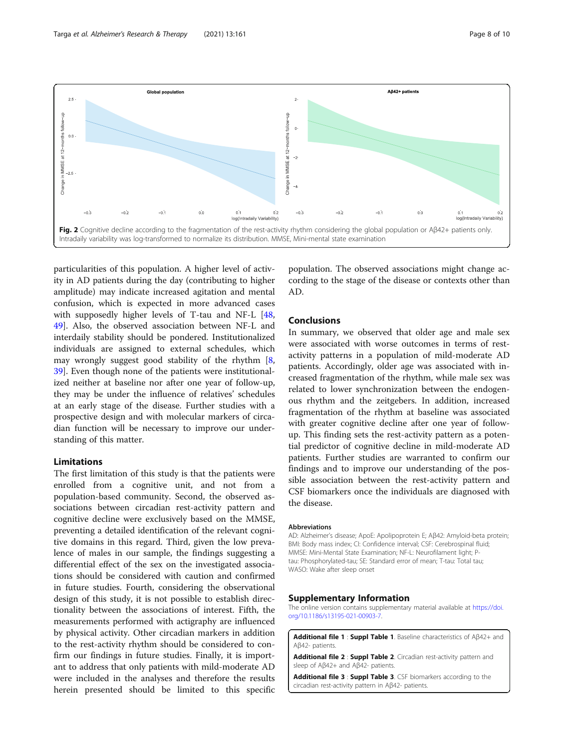<span id="page-7-0"></span>

particularities of this population. A higher level of activity in AD patients during the day (contributing to higher amplitude) may indicate increased agitation and mental confusion, which is expected in more advanced cases with supposedly higher levels of T-tau and NF-L [[48](#page-9-0), [49\]](#page-9-0). Also, the observed association between NF-L and interdaily stability should be pondered. Institutionalized individuals are assigned to external schedules, which may wrongly suggest good stability of the rhythm  $[8, 8]$  $[8, 8]$ [39\]](#page-9-0). Even though none of the patients were institutionalized neither at baseline nor after one year of follow-up, they may be under the influence of relatives' schedules at an early stage of the disease. Further studies with a prospective design and with molecular markers of circadian function will be necessary to improve our understanding of this matter.

# Limitations

The first limitation of this study is that the patients were enrolled from a cognitive unit, and not from a population-based community. Second, the observed associations between circadian rest-activity pattern and cognitive decline were exclusively based on the MMSE, preventing a detailed identification of the relevant cognitive domains in this regard. Third, given the low prevalence of males in our sample, the findings suggesting a differential effect of the sex on the investigated associations should be considered with caution and confirmed in future studies. Fourth, considering the observational design of this study, it is not possible to establish directionality between the associations of interest. Fifth, the measurements performed with actigraphy are influenced by physical activity. Other circadian markers in addition to the rest-activity rhythm should be considered to confirm our findings in future studies. Finally, it is important to address that only patients with mild-moderate AD were included in the analyses and therefore the results herein presented should be limited to this specific

population. The observed associations might change according to the stage of the disease or contexts other than AD.

# Conclusions

In summary, we observed that older age and male sex were associated with worse outcomes in terms of restactivity patterns in a population of mild-moderate AD patients. Accordingly, older age was associated with increased fragmentation of the rhythm, while male sex was related to lower synchronization between the endogenous rhythm and the zeitgebers. In addition, increased fragmentation of the rhythm at baseline was associated with greater cognitive decline after one year of followup. This finding sets the rest-activity pattern as a potential predictor of cognitive decline in mild-moderate AD patients. Further studies are warranted to confirm our findings and to improve our understanding of the possible association between the rest-activity pattern and CSF biomarkers once the individuals are diagnosed with the disease.

#### Abbreviations

AD: Alzheimer's disease; ApoE: Apolipoprotein E; Aβ42: Amyloid-beta protein; BMI: Body mass index; CI: Confidence interval; CSF: Cerebrospinal fluid; MMSE: Mini-Mental State Examination; NF-L: Neurofilament light; Ptau: Phosphorylated-tau; SE: Standard error of mean; T-tau: Total tau; WASO: Wake after sleep onset

#### Supplementary Information

The online version contains supplementary material available at [https://doi.](https://doi.org/10.1186/s13195-021-00903-7) [org/10.1186/s13195-021-00903-7.](https://doi.org/10.1186/s13195-021-00903-7)

Additional file 1 : Suppl Table 1. Baseline characteristics of Aβ42+ and Aβ42- patients.

Additional file 2 : Suppl Table 2. Circadian rest-activity pattern and sleep of Aβ42+ and Aβ42- patients.

Additional file 3 : Suppl Table 3. CSF biomarkers according to the circadian rest-activity pattern in Aβ42- patients.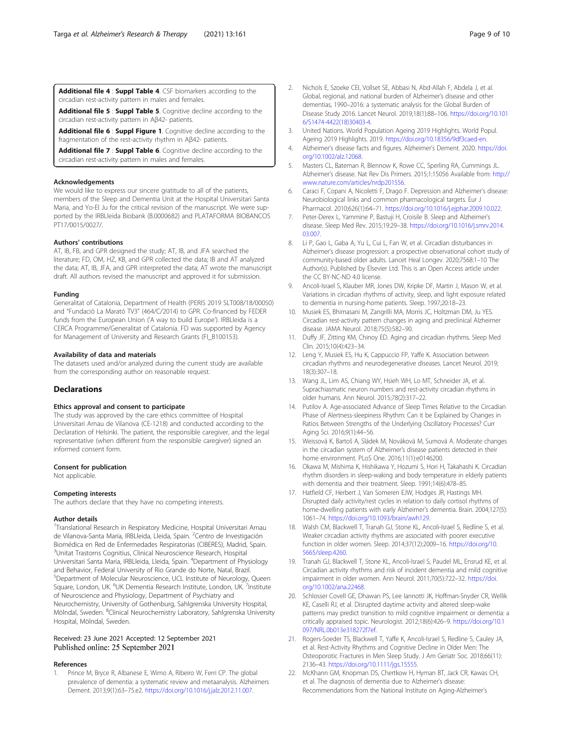<span id="page-8-0"></span>Additional file 4 : Suppl Table 4. CSF biomarkers according to the circadian rest-activity pattern in males and females.

Additional file 5 : Suppl Table 5. Cognitive decline according to the circadian rest-activity pattern in Aβ42- patients.

Additional file 6 : Suppl Figure 1. Cognitive decline according to the fragmentation of the rest-activity rhythm in Aβ42- patients.

Additional file 7 : Suppl Table 6. Cognitive decline according to the circadian rest-activity pattern in males and females.

#### Acknowledgements

We would like to express our sincere gratitude to all of the patients, members of the Sleep and Dementia Unit at the Hospital Universitari Santa Maria, and Yo-El Ju for the critical revision of the manuscript. We were supported by the IRBLleida Biobank (B.0000682) and PLATAFORMA BIOBANCOS PT17/0015/0027/.

# Authors' contributions

AT, IB, FB, and GPR designed the study; AT, IB, and JFA searched the literature; FD, OM, HZ, KB, and GPR collected the data; IB and AT analyzed the data; AT, IB, JFA, and GPR interpreted the data; AT wrote the manuscript draft. All authors revised the manuscript and approved it for submission.

#### Funding

Generalitat of Catalonia, Department of Health (PERIS 2019 SLT008/18/00050) and "Fundació La Marató TV3" (464/C/2014) to GPR. Co-financed by FEDER funds from the European Union ('A way to build Europe'). IRBLleida is a CERCA Programme/Generalitat of Catalonia. FD was supported by Agency for Management of University and Research Grants (FI\_B100153).

# Availability of data and materials

The datasets used and/or analyzed during the current study are available from the corresponding author on reasonable request.

# **Declarations**

# Ethics approval and consent to participate

The study was approved by the care ethics committee of Hospital Universitari Arnau de Vilanova (CE-1218) and conducted according to the Declaration of Helsinki. The patient, the responsible caregiver, and the legal representative (when different from the responsible caregiver) signed an informed consent form.

#### Consent for publication

Not applicable.

#### Competing interests

The authors declare that they have no competing interests.

#### Author details

<sup>1</sup>Translational Research in Respiratory Medicine, Hospital Universitari Arnau de Vilanova-Santa Maria, IRBLleida, Lleida, Spain. <sup>2</sup>Centro de Investigación Biomédica en Red de Enfermedades Respiratorias (CIBERES), Madrid, Spain. <sup>3</sup>Unitat Trastorns Cognitius, Clinical Neuroscience Research, Hospital Universitari Santa Maria, IRBLleida, Lleida, Spain. <sup>4</sup>Department of Physiology and Behavior, Federal University of Rio Grande do Norte, Natal, Brazil. 5 Department of Molecular Neuroscience, UCL Institute of Neurology, Queen Square, London, UK. <sup>6</sup>UK Dementia Research Institute, London, UK. 7Institute of Neuroscience and Physiology, Department of Psychiatry and Neurochemistry, University of Gothenburg, Sahlgrenska University Hospital, Mölndal, Sweden. <sup>8</sup>Clinical Neurochemistry Laboratory, Sahlgrenska University Hospital, Mölndal, Sweden.

# Received: 23 June 2021 Accepted: 12 September 2021 Published online: 25 September 2021

#### References

Prince M, Bryce R, Albanese E, Wimo A, Ribeiro W, Ferri CP. The global prevalence of dementia: a systematic review and metaanalysis. Alzheimers Dement. 2013;9(1):63–75.e2. <https://doi.org/10.1016/j.jalz.2012.11.007>.

- 2. Nichols E, Szoeke CEI, Vollset SE, Abbasi N, Abd-Allah F, Abdela J, et al. Global, regional, and national burden of Alzheimer's disease and other dementias, 1990–2016: a systematic analysis for the Global Burden of Disease Study 2016. Lancet Neurol. 2019;18(1):88–106. [https://doi.org/10.101](https://doi.org/10.1016/S1474-4422(18)30403-4) [6/S1474-4422\(18\)30403-4](https://doi.org/10.1016/S1474-4422(18)30403-4).
- 3. United Nations. World Population Ageing 2019 Highlights. World Popul. Ageing 2019 Highlights. 2019. <https://doi.org/10.18356/9df3caed-en>.
- 4. Alzheimer's disease facts and figures. Alzheimer's Dement. 2020. [https://doi.](https://doi.org/10.1002/alz.12068) [org/10.1002/alz.12068.](https://doi.org/10.1002/alz.12068)
- 5. Masters CL, Bateman R, Blennow K, Rowe CC, Sperling RA, Cummings JL. Alzheimer's disease. Nat Rev Dis Primers. 2015;1:15056 Available from: [http://](http://www.nature.com/articles/nrdp201556) www.nature.com/articles/nrdp201556
- 6. Caraci F, Copani A, Nicoletti F, Drago F. Depression and Alzheimer's disease: Neurobiological links and common pharmacological targets. Eur J Pharmacol. 2010;626(1):64–71. [https://doi.org/10.1016/j.ejphar.2009.10.022.](https://doi.org/10.1016/j.ejphar.2009.10.022)
- 7. Peter-Derex L, Yammine P, Bastuji H, Croisile B. Sleep and Alzheimer's disease. Sleep Med Rev. 2015;19:29–38. [https://doi.org/10.1016/j.smrv.2014.](https://doi.org/10.1016/j.smrv.2014.03.007) [03.007](https://doi.org/10.1016/j.smrv.2014.03.007).
- 8. Li P, Gao L, Gaba A, Yu L, Cui L, Fan W, et al. Circadian disturbances in Alzheimer's disease progression: a prospective observational cohort study of community-based older adults. Lancet Heal Longev. 2020;7568:1–10 The Author(s). Published by Elsevier Ltd. This is an Open Access article under the CC BY-NC-ND 4.0 license.
- 9. Ancoli-Israel S, Klauber MR, Jones DW, Kripke DF, Martin J, Mason W, et al. Variations in circadian rhythms of activity, sleep, and light exposure related to dementia in nursing-home patients. Sleep. 1997;20:18–23.
- 10. Musiek ES, Bhimasani M, Zangrilli MA, Morris JC, Holtzman DM, Ju YES. Circadian rest-activity pattern changes in aging and preclinical Alzheimer disease. JAMA Neurol. 2018;75(5):582–90.
- 11. Duffy JF, Zitting KM, Chinoy ED. Aging and circadian rhythms. Sleep Med Clin. 2015;10(4):423–34.
- 12. Leng Y, Musiek ES, Hu K, Cappuccio FP, Yaffe K. Association between circadian rhythms and neurodegenerative diseases. Lancet Neurol. 2019; 18(3):307–18.
- 13. Wang JL, Lim AS, Chiang WY, Hsieh WH, Lo MT, Schneider JA, et al. Suprachiasmatic neuron numbers and rest-activity circadian rhythms in older humans. Ann Neurol. 2015;78(2):317–22.
- 14. Putilov A. Age-associated Advance of Sleep Times Relative to the Circadian Phase of Alertness-sleepiness Rhythm: Can it be Explained by Changes in Ratios Between Strengths of the Underlying Oscillatory Processes? Curr Aging Sci. 2016;9(1):44–56.
- 15. Weissová K, Bartoš A, Sládek M, Nováková M, Sumová A. Moderate changes in the circadian system of Alzheimer's disease patients detected in their home environment. PLoS One. 2016;11(1):e0146200.
- 16. Okawa M, Mishima K, Hishikawa Y, Hozumi S, Hori H, Takahashi K. Circadian rhythm disorders in sleep-waking and body temperature in elderly patients with dementia and their treatment. Sleep. 1991;14(6):478–85.
- 17. Hatfield CF, Herbert J, Van Someren EJW, Hodges JR, Hastings MH. Disrupted daily activity/rest cycles in relation to daily cortisol rhythms of home-dwelling patients with early Alzheimer's dementia. Brain. 2004;127(5): 1061–74. <https://doi.org/10.1093/brain/awh129>.
- 18. Walsh CM, Blackwell T, Tranah GJ, Stone KL, Ancoli-Israel S, Redline S, et al. Weaker circadian activity rhythms are associated with poorer executive function in older women. Sleep. 2014;37(12):2009–16. [https://doi.org/10.](https://doi.org/10.5665/sleep.4260) [5665/sleep.4260](https://doi.org/10.5665/sleep.4260).
- 19. Tranah GJ, Blackwell T, Stone KL, Ancoli-Israel S, Paudel ML, Ensrud KE, et al. Circadian activity rhythms and risk of incident dementia and mild cognitive impairment in older women. Ann Neurol. 2011;70(5):722–32. [https://doi.](https://doi.org/10.1002/ana.22468) [org/10.1002/ana.22468](https://doi.org/10.1002/ana.22468).
- 20. Schlosser Covell GE, Dhawan PS, Lee Iannotti JK, Hoffman-Snyder CR, Wellik KE, Caselli RJ, et al. Disrupted daytime activity and altered sleep-wake patterns may predict transition to mild cognitive impairment or dementia: a critically appraised topic. Neurologist. 2012;18(6):426–9. [https://doi.org/10.1](https://doi.org/10.1097/NRL.0b013e318272f7ef) [097/NRL.0b013e318272f7ef.](https://doi.org/10.1097/NRL.0b013e318272f7ef)
- 21. Rogers-Soeder TS, Blackwell T, Yaffe K, Ancoli-Israel S, Redline S, Cauley JA, et al. Rest-Activity Rhythms and Cognitive Decline in Older Men: The Osteoporotic Fractures in Men Sleep Study. J Am Geriatr Soc. 2018;66(11): 2136–43. [https://doi.org/10.1111/jgs.15555.](https://doi.org/10.1111/jgs.15555)
- 22. McKhann GM, Knopman DS, Chertkow H, Hyman BT, Jack CR, Kawas CH, et al. The diagnosis of dementia due to Alzheimer's disease: Recommendations from the National Institute on Aging-Alzheimer's